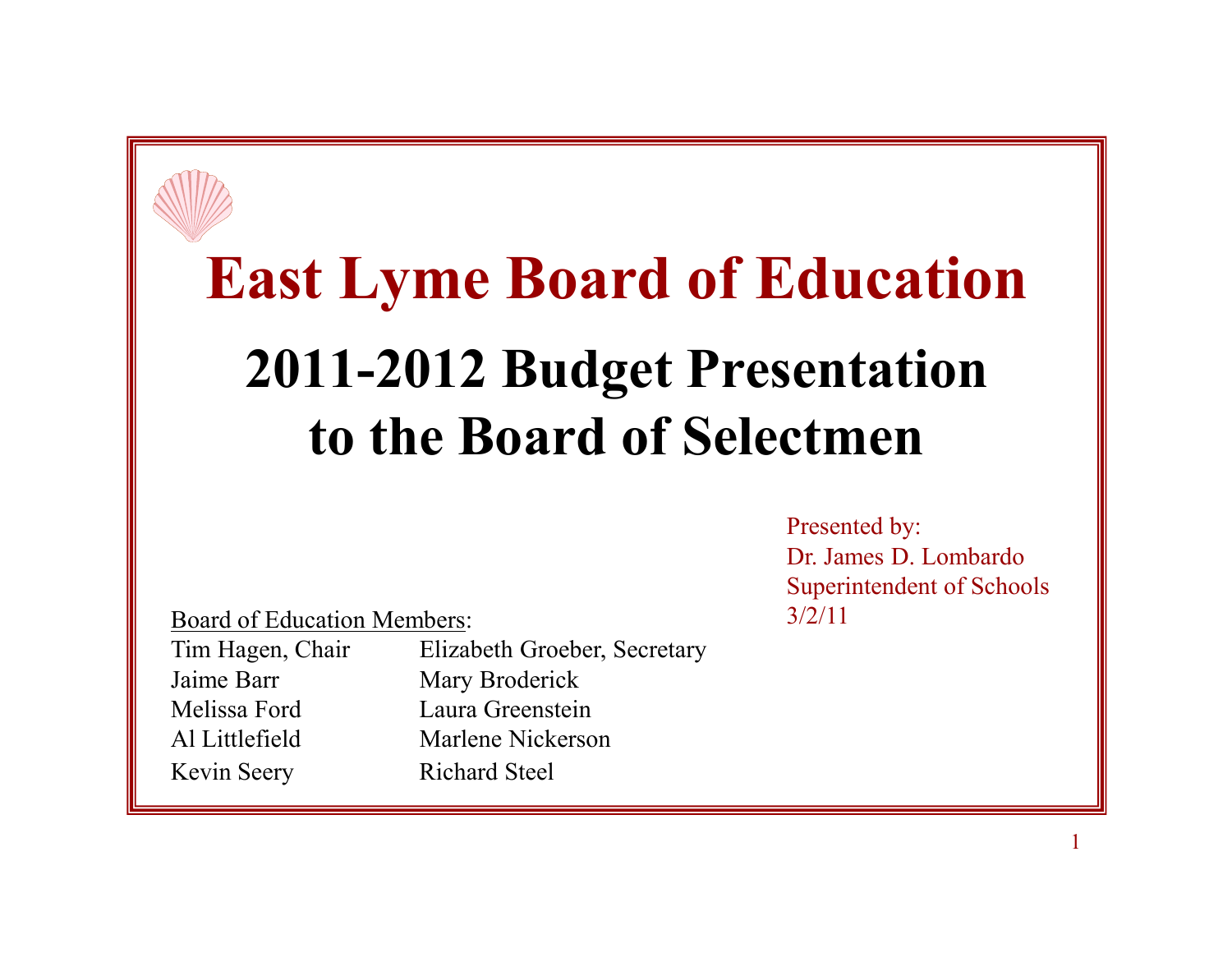# **East Lyme Board of Education2011-2012 Budget Presentation to the Board of Selectmen**

Board of Education Members:

Tim Hagen, Chair Elizabeth Groeber, Secretary<br>Jaime Barr Mary Broderick Jaime Barr Mary Broderick<br>
Melissa Ford Laura Greenstein Melissa Ford Laura Greenstein<br>Al Littlefield Marlene Nickerso Marlene Nickerson<br>Richard Steel Kevin Seery

Presented by: Dr. James D. Lombardo Superintendent of Schools  $\frac{3}{2}/11$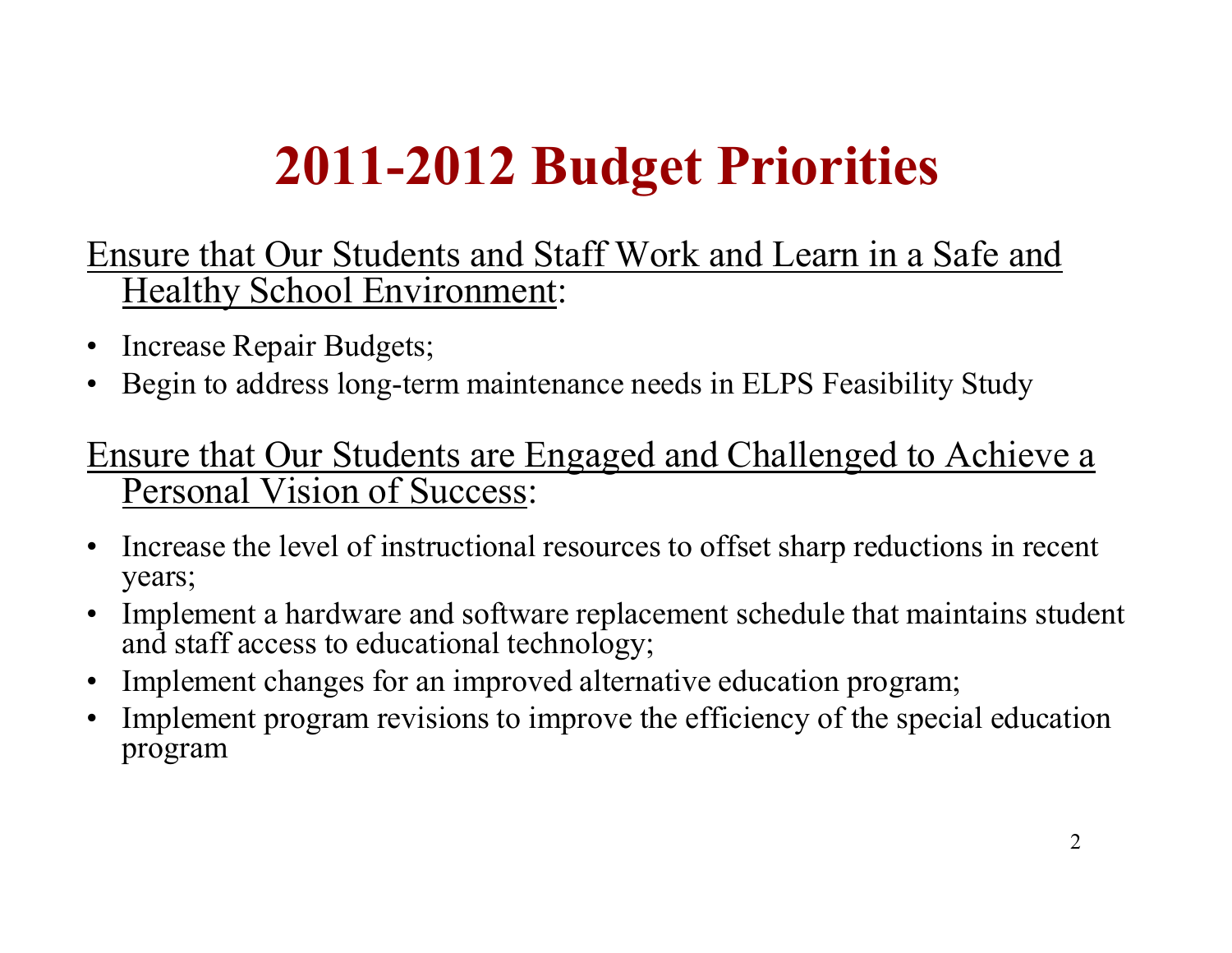## **2011-2012 Budget Priorities**

Ensure that Our Students and Staff Work and Learn in a Safe and Healthy School Environment:

- •Increase Repair Budgets;
- •Begin to address long-term maintenance needs in ELPS Feasibility Study

#### Ensure that Our Students are Engaged and Challenged to Achieve a Personal Vision of Success:

- $\bullet$  Increase the level of instructional resources to offset sharp reductions in recent years;
- $\bullet$  Implement a hardware and software replacement schedule that maintains student and staff access to educational technology;
- $\bullet$ Implement changes for an improved alternative education program;
- $\bullet$  Implement program revisions to improve the efficiency of the special education program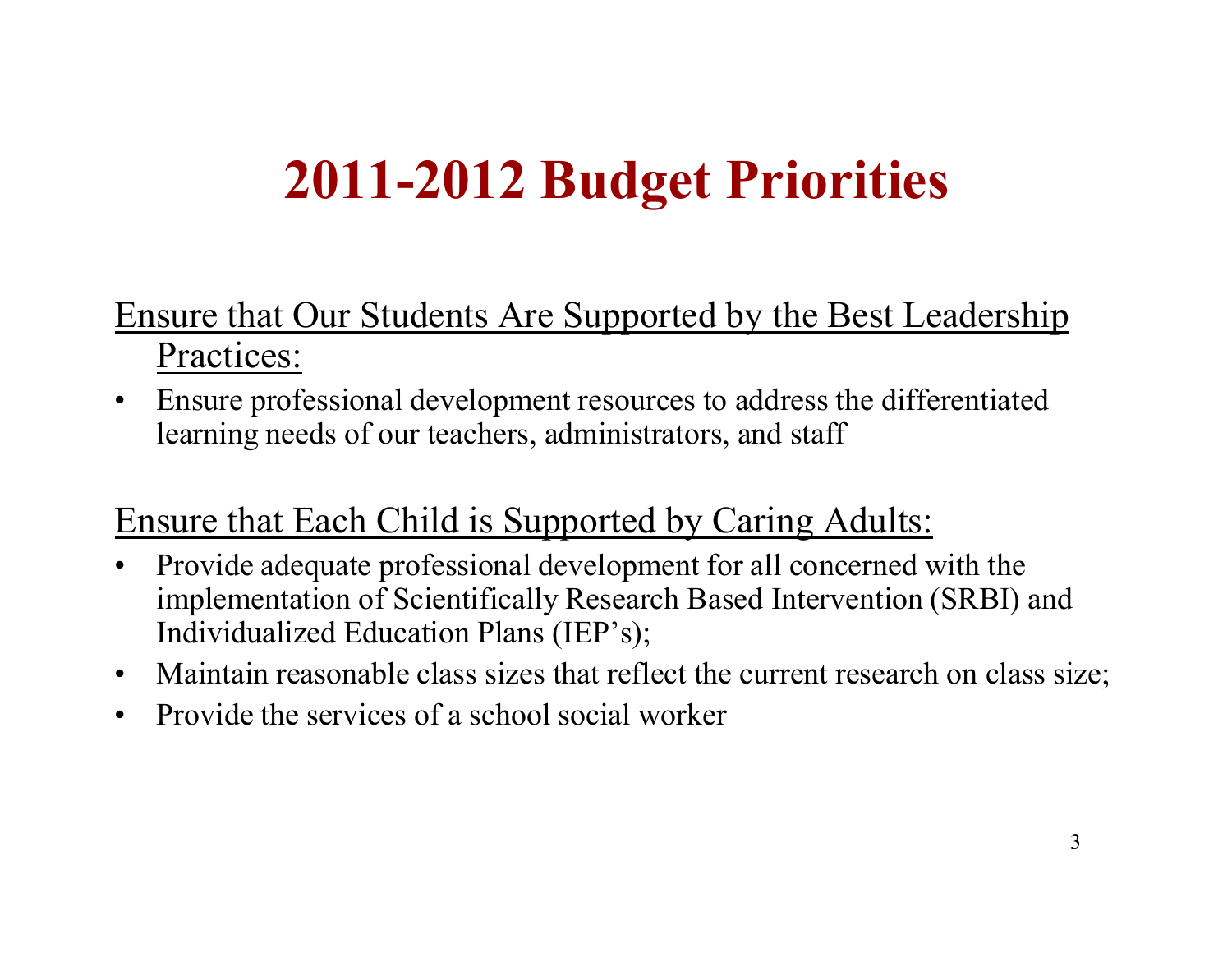### **2011-2012 Budget Priorities**

#### Ensure that Our Students Are Supported by the Best Leadership Practices:

 $\bullet$  Ensure professional development resources to address the differentiated learning needs of our teachers, administrators, and staff

#### Ensure that Each Child is Supported by Caring Adults:

- $\bullet$  Provide adequate professional development for all concerned with the implementation of Scientifically Research Based Intervention (SRBI) and Individualized Education Plans (IEP's);
- Maintain reasonable class sizes that reflect the current research on class size;
- $\bullet$ Provide the services of a school social worker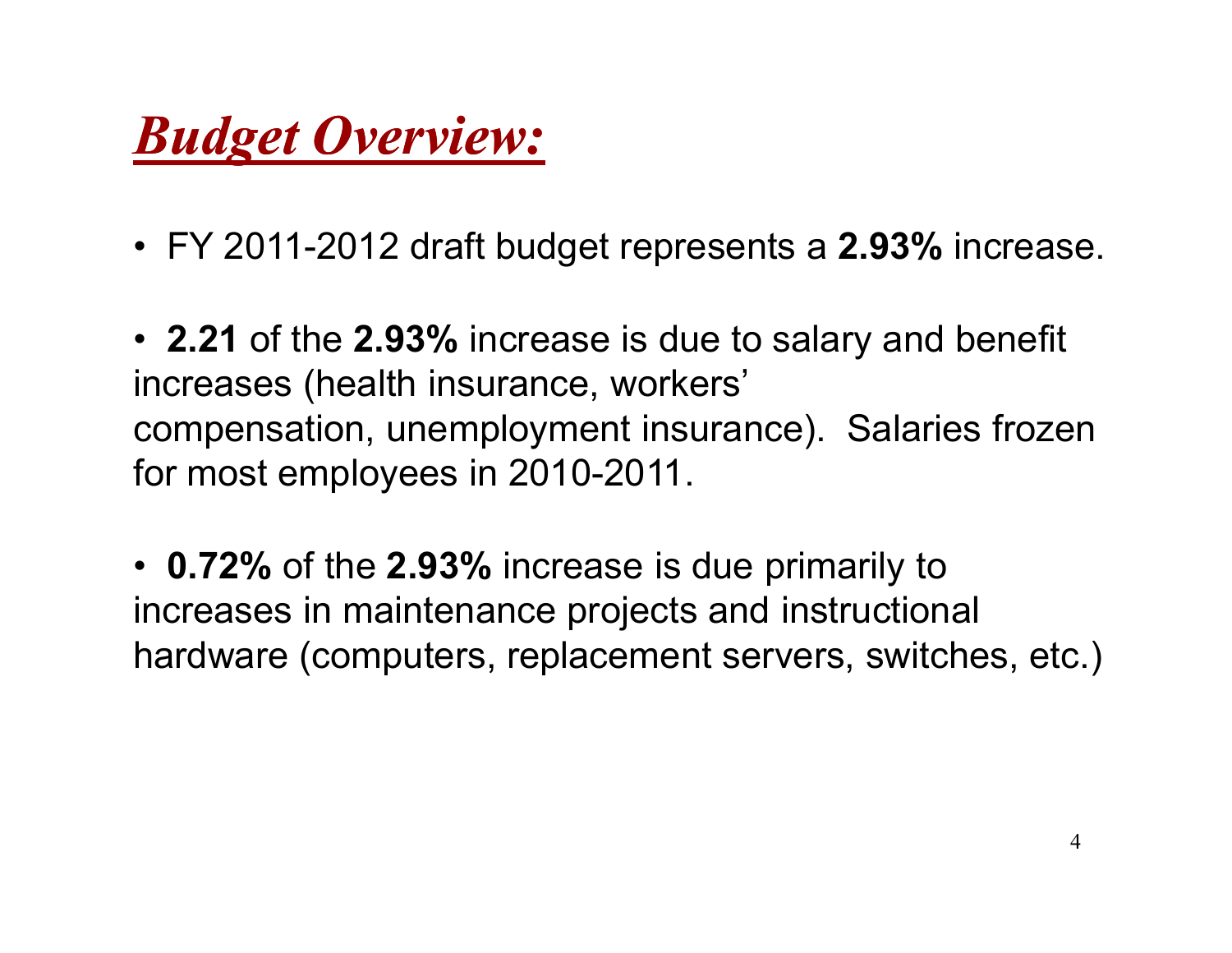#### *Budget Overview:*

• FY 2011-2012 draft budget represents a **2.93%** increase.

• **2.21** of the **2.93%** increase is due to salary and benefit increases (health insurance, workers' compensation, unemployment insurance). Salaries frozen for most employees in 2010-2011.

• **0.72%** of the **2.93%** increase is due primarily to increases in maintenance projects and instructional hardware (computers, replacement servers, switches, etc.)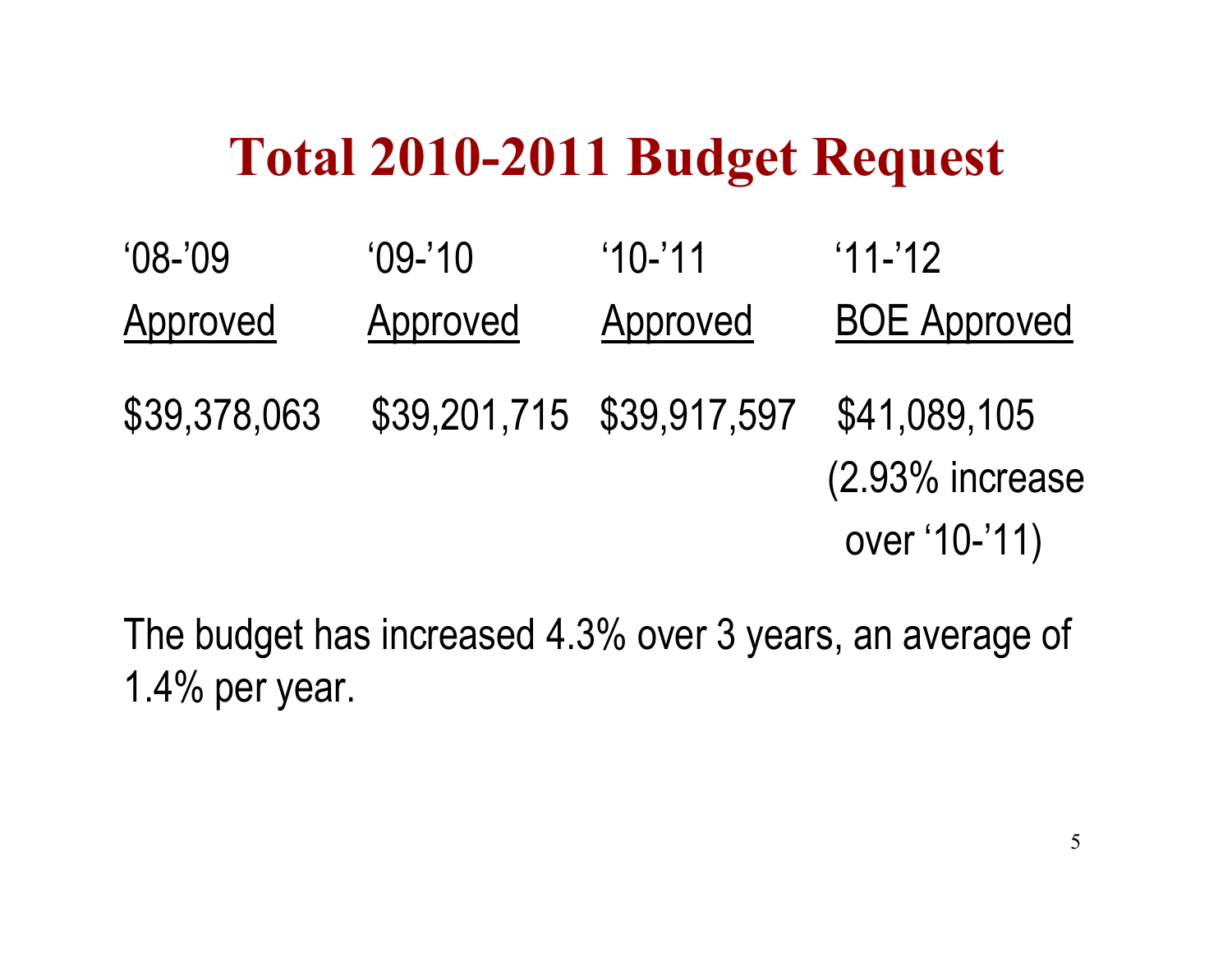#### **Total 2010-2011 Budget Request**

| $'08 - '09$  | $'09-'10$                 | $10 - 11$ | $11 - 12$                       |
|--------------|---------------------------|-----------|---------------------------------|
| Approved     | Approved                  | Approved  | <b>BOE Approved</b>             |
| \$39,378,063 | \$39,201,715 \$39,917,597 |           | \$41,089,105<br>(2.93% increase |
|              |                           |           | over '10-'11)                   |

The budget has increased 4.3% over 3 years, an average of 1.4% per year.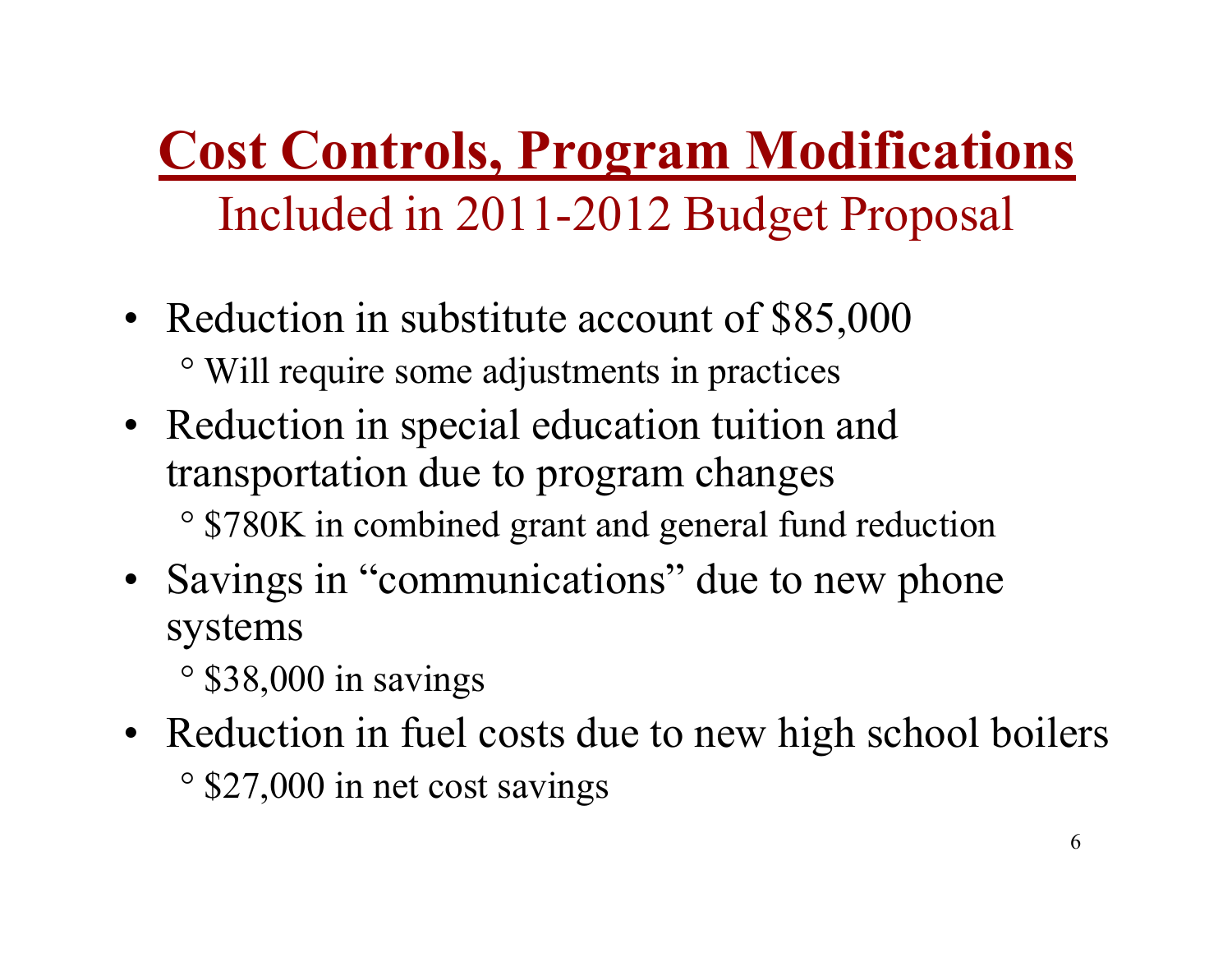#### **Cost Controls, Program Modifications**Included in 2011-2012 Budget Proposal

- Reduction in substitute account of \$85,000 ° Will require some adjustments in practices
- Reduction in special education tuition and<br>transportation due to program changes transportation due to program changes° \$780K in combined grant and general fund reduction
- Savings in "communications" due to new phone systems
	- ° \$38,000 in savings
- Reduction in fuel costs due to new high school boilers ° \$27,000 in net cost savings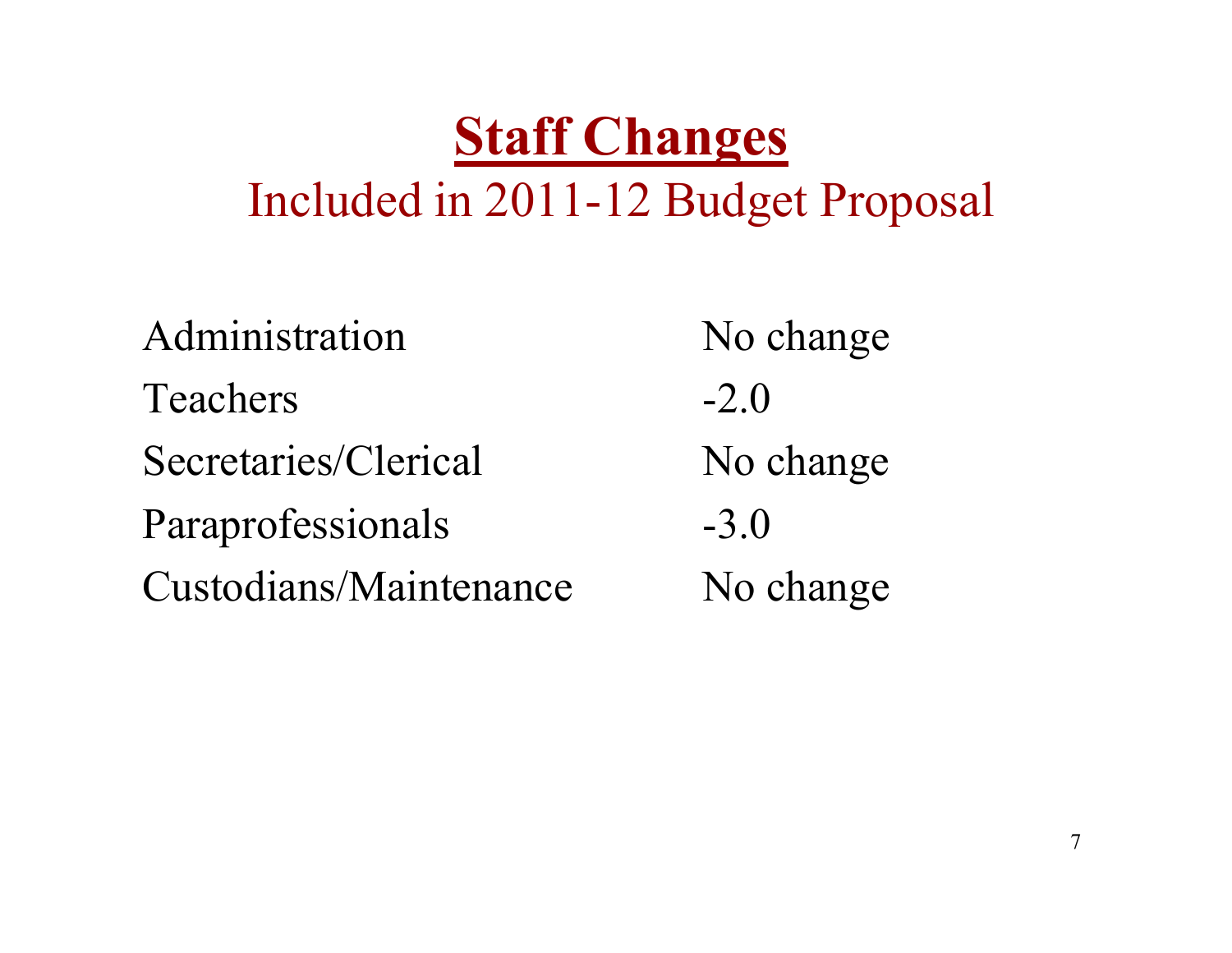#### **Staff Changes**Included in 2011-12 Budget Proposal

| Administration         | No change |
|------------------------|-----------|
| <b>Teachers</b>        | $-2.0$    |
| Secretaries/Clerical   | No change |
| Paraprofessionals      | $-3.0$    |
| Custodians/Maintenance | No change |
|                        |           |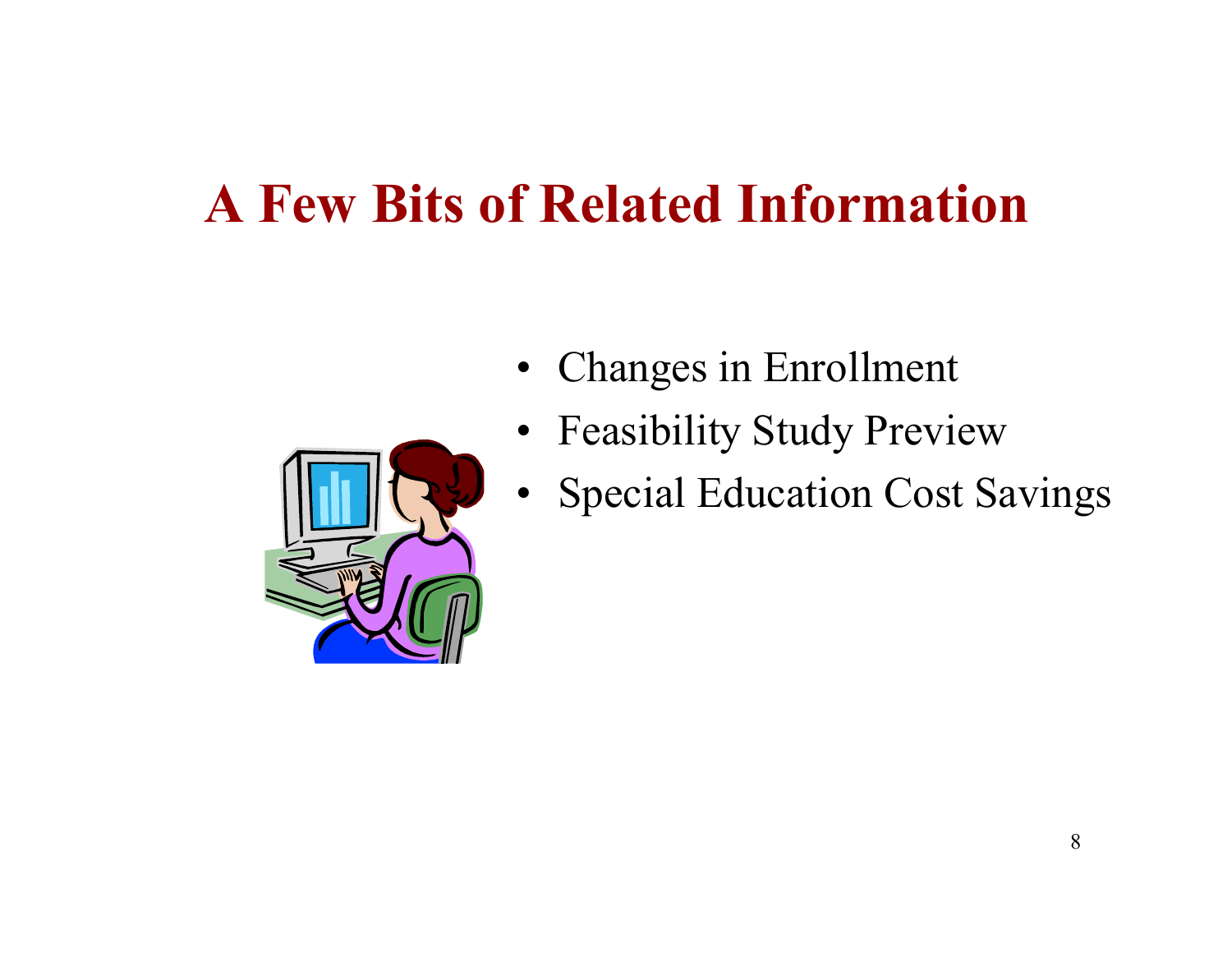### **A Few Bits of Related Information**



- Changes in Enrollment
- Feasibility Study Preview
- $\bullet$ Special Education Cost Savings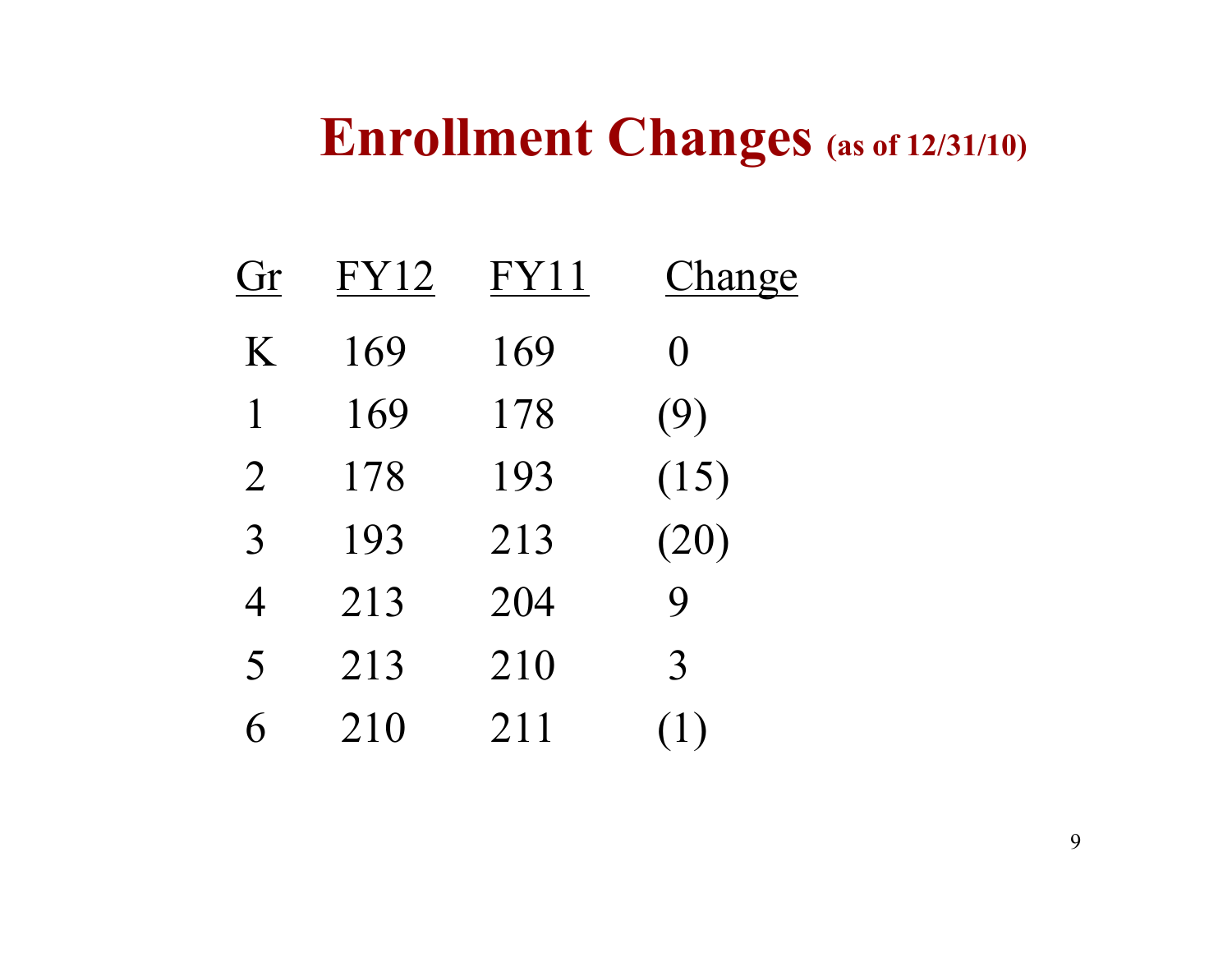#### **Enrollment Changes (as of 12/31/10)**

| Gr             | <b>FY12</b> | FY11 | Change      |
|----------------|-------------|------|-------------|
| K              | 169         | 169  | $\Omega$    |
| 1              | 169         | 178  | (9)         |
| $\overline{2}$ | 178         | 193  | (15)        |
| $\overline{3}$ | 193         | 213  | (20)        |
| $\overline{4}$ | 213         | 204  | $\mathbf Q$ |
| 5              | 213         | 210  | 3           |
| 6              | 210         | 211  | (1)         |
|                |             |      |             |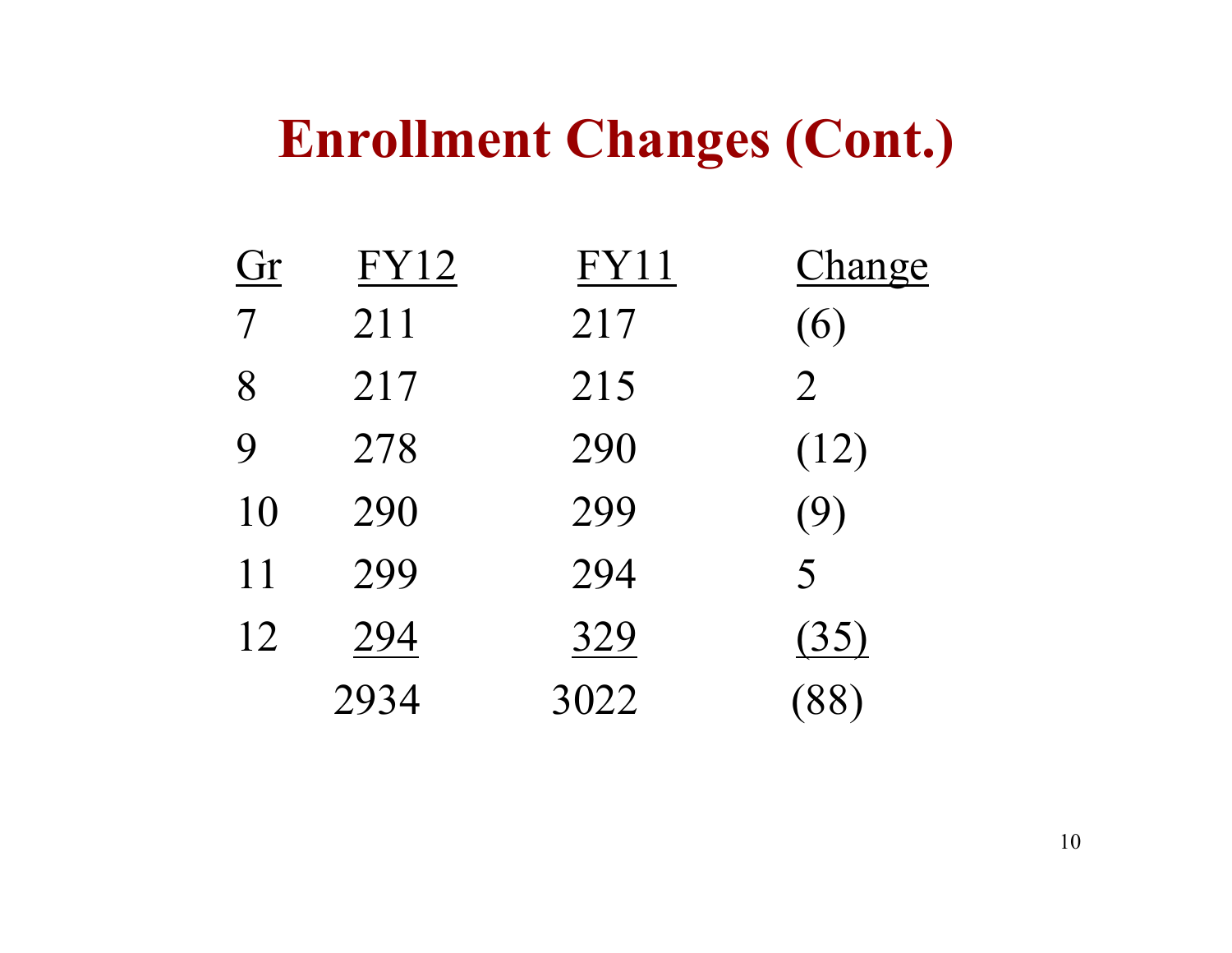#### **Enrollment Changes (Cont.)**

| Gr               | <b>FY12</b> | <b>FY11</b> | Change         |
|------------------|-------------|-------------|----------------|
| $\overline{7}$   | 211         | 217         | (6)            |
| 8                | 217         | 215         | $\overline{2}$ |
| $\boldsymbol{Q}$ | 278         | 290         | (12)           |
| 10               | 290         | 299         | (9)            |
| 11               | 299         | 294         | 5              |
| 12               | 294         | 329         | (35)           |
|                  | 2934        | 3022        | (88)           |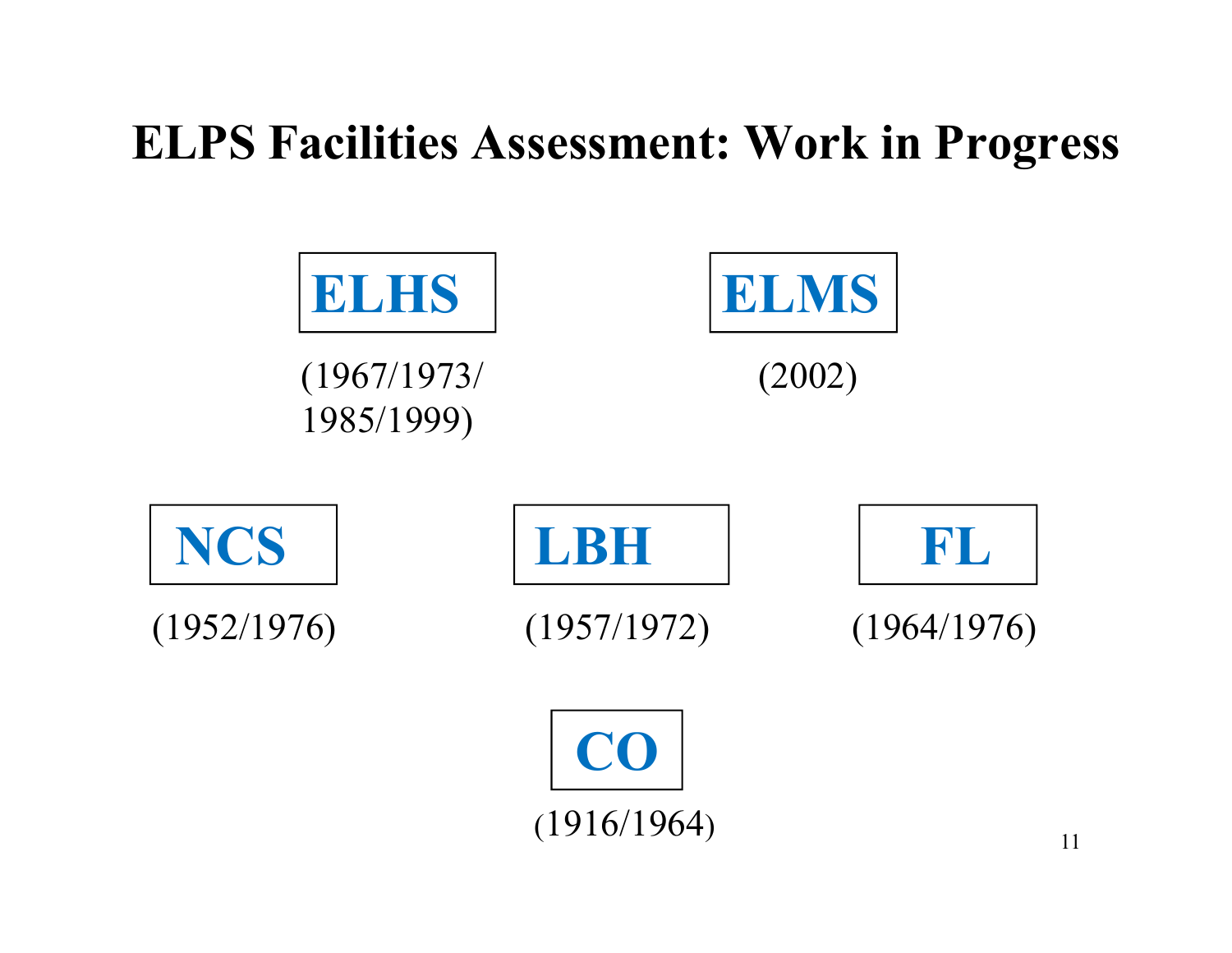#### **ELPS Facilities Assessment: Work in Progress**

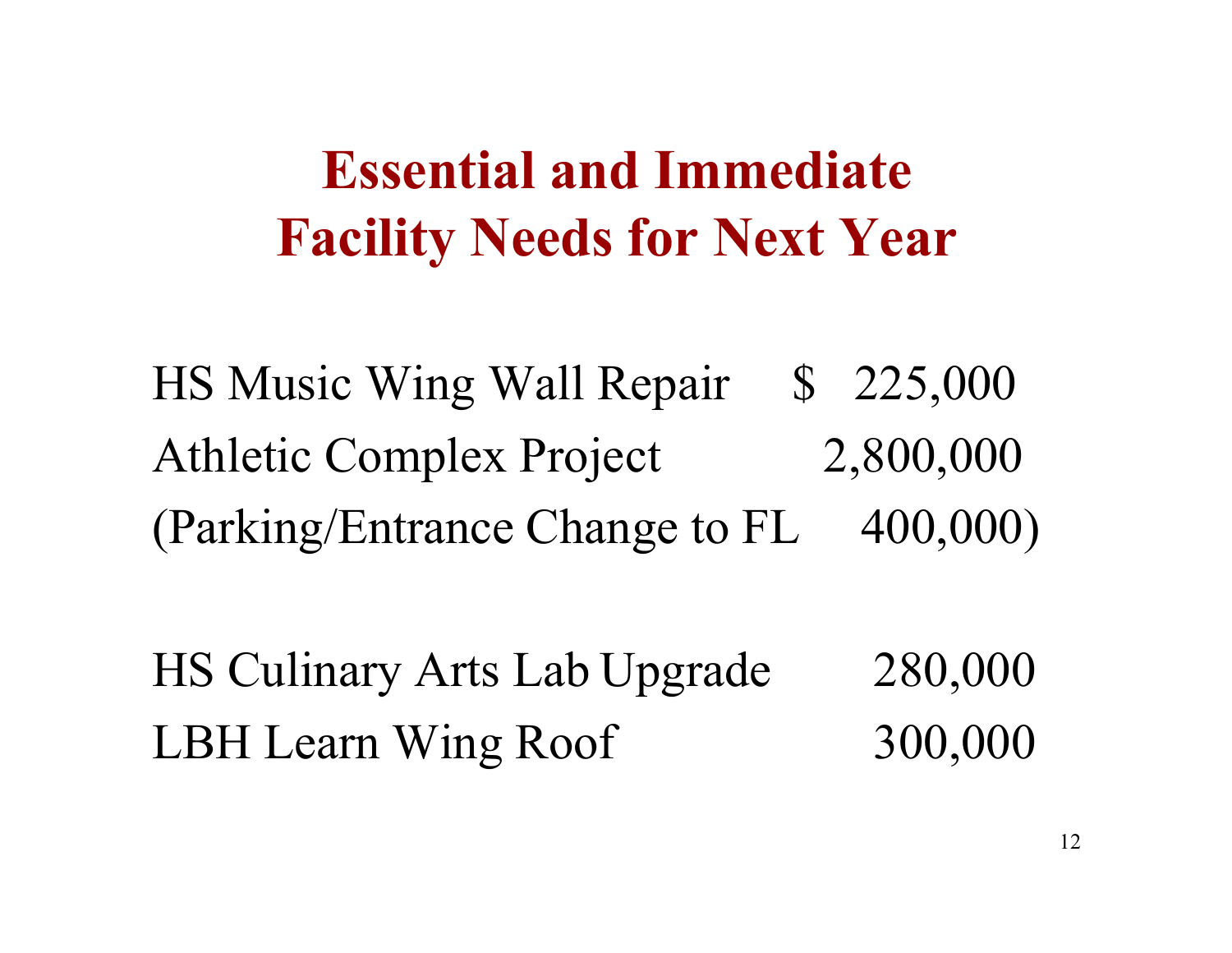#### **Essential and Immediate Facility Needs for Next Year**

HS Music Wing Wall Repair \$ 225,000 Athletic Complex Project 2,800,000(Parking/Entrance Change to FL 400,000)

HS Culinary Arts Lab Upgrade 280,000<br>LBH Learn Wing Roof 300,000 LBH Learn Wing Roof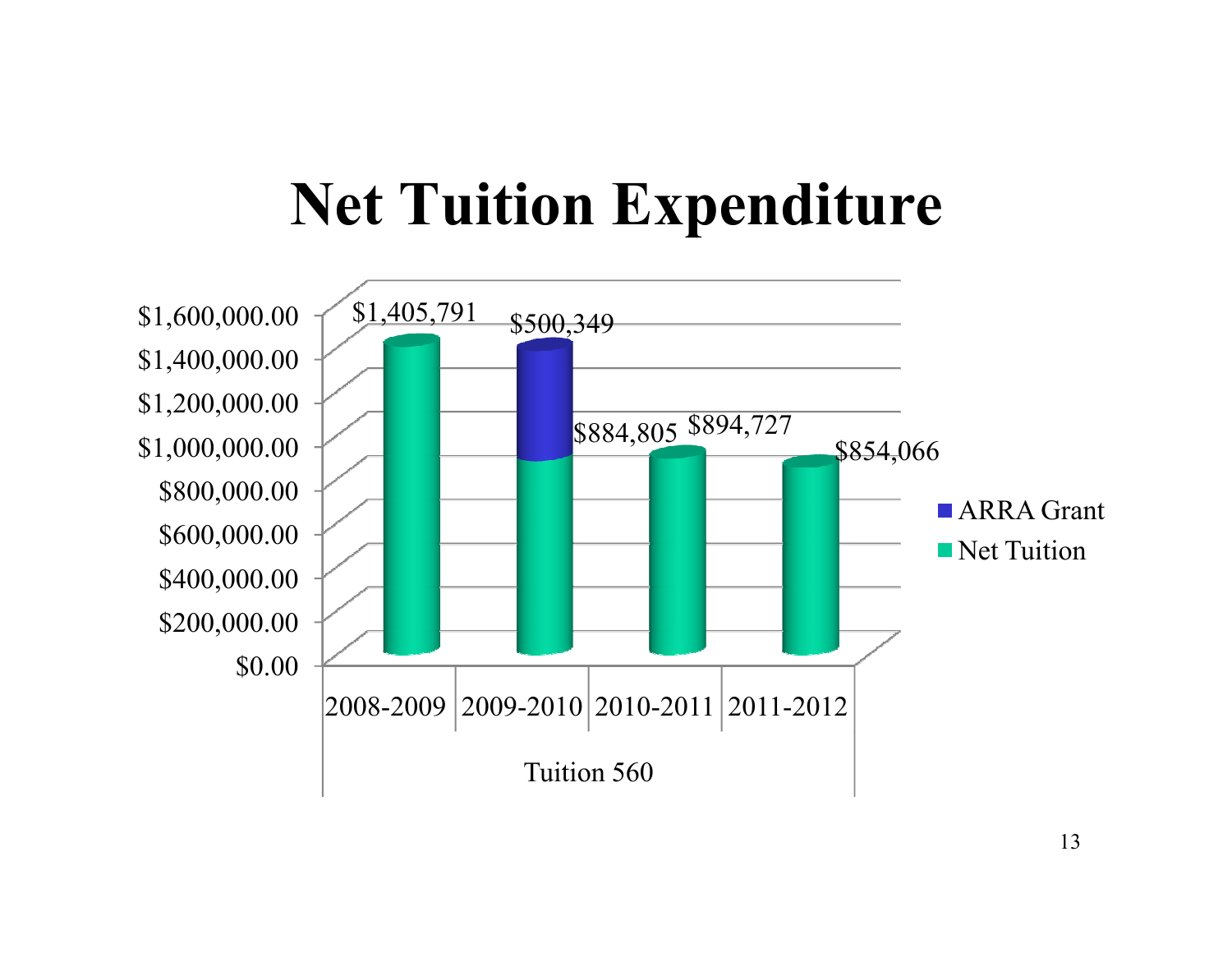## **Net Tuition Expenditure**

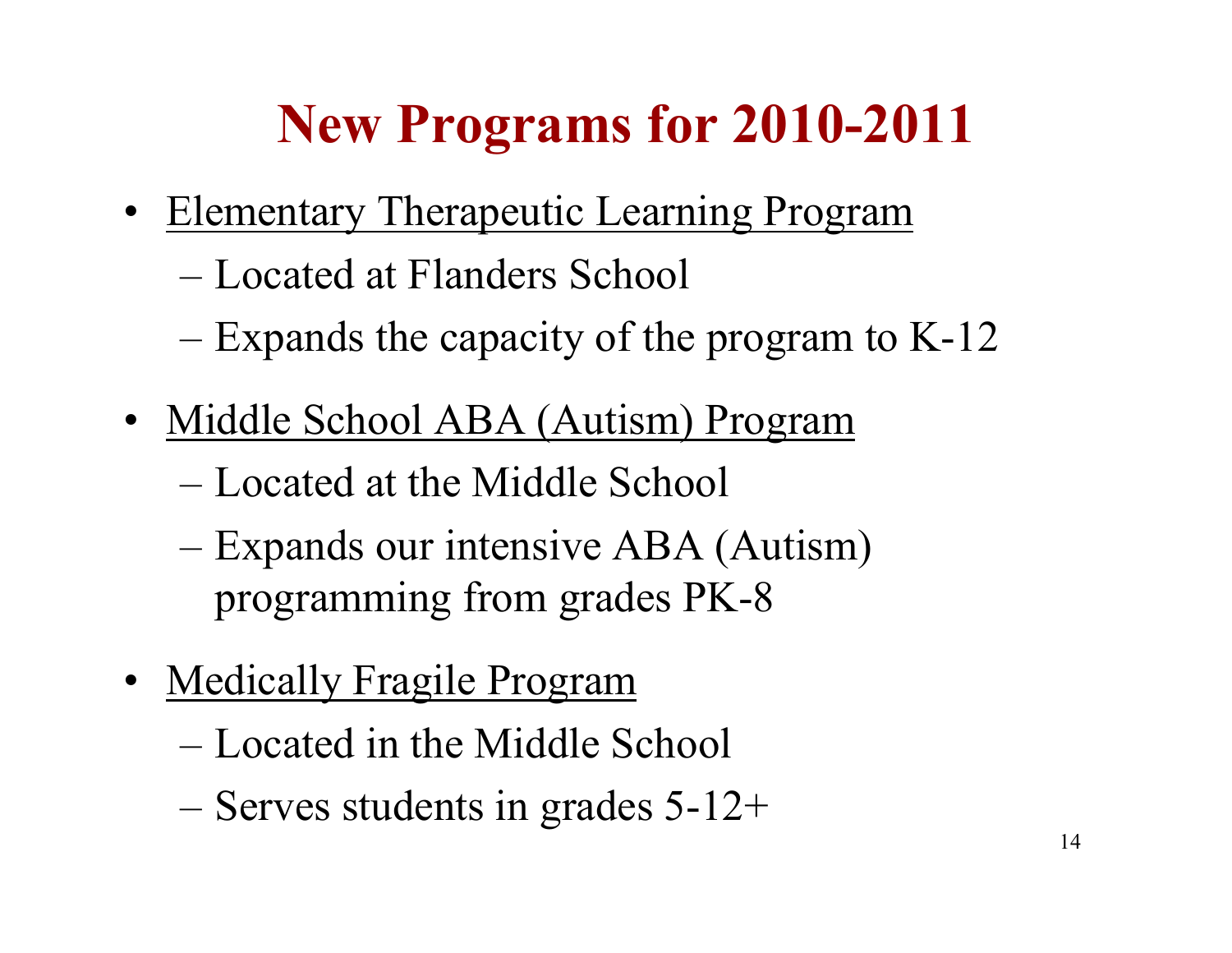## **New Programs for 2010-2011**

- Elementary Therapeutic Learning Program
	- Located at Flanders School
	- Expands the capacity of the program to K-12
- Middle School ABA (Autism) Program
	- Located at the Middle School
	- Expands our intensive ABA (Autism) programming from grades PK-8
- Medically Fragile Program
	- Located in the Middle School
	- Serves students in grades 5-12+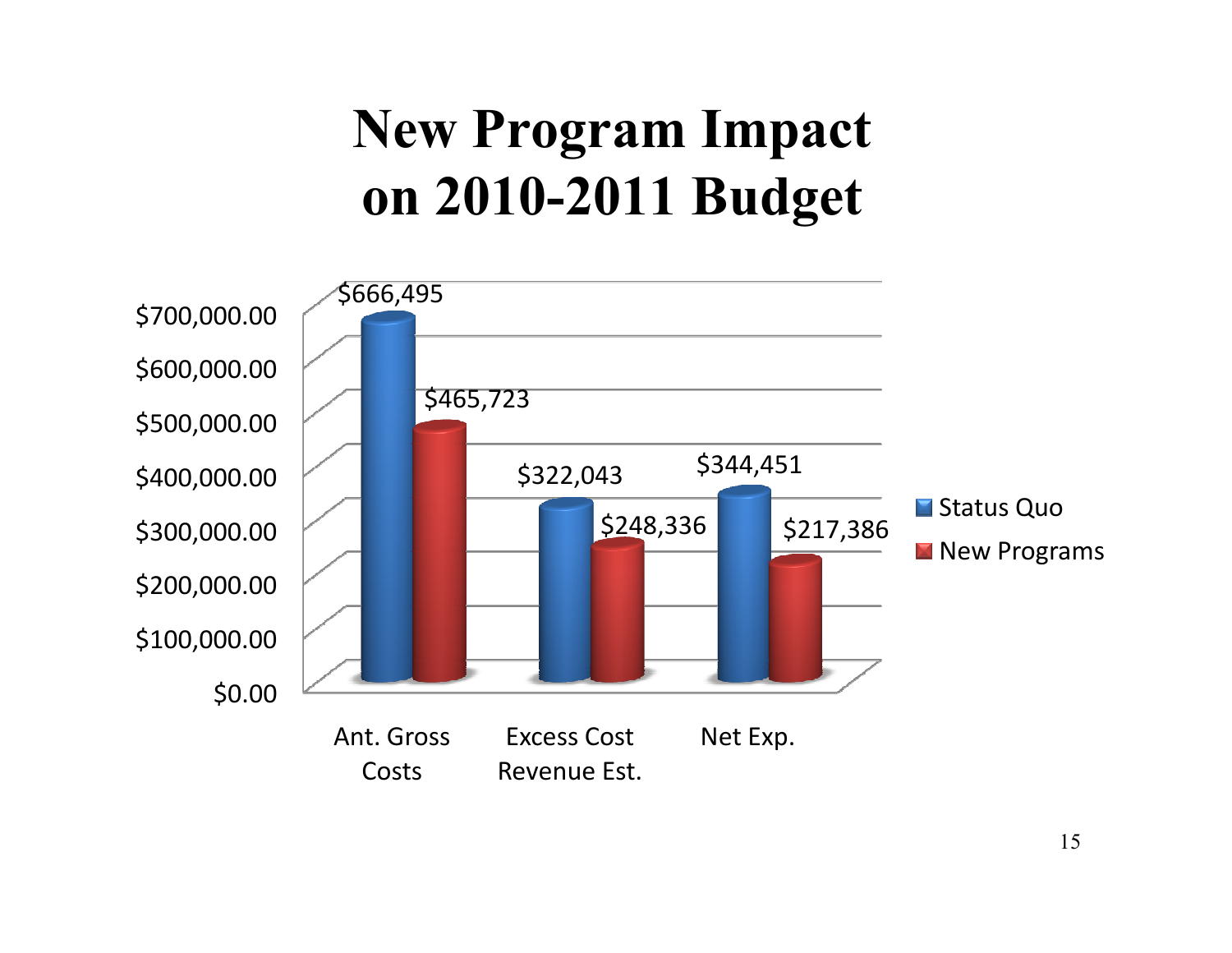## **New Program Impact on 2010-2011 Budget**

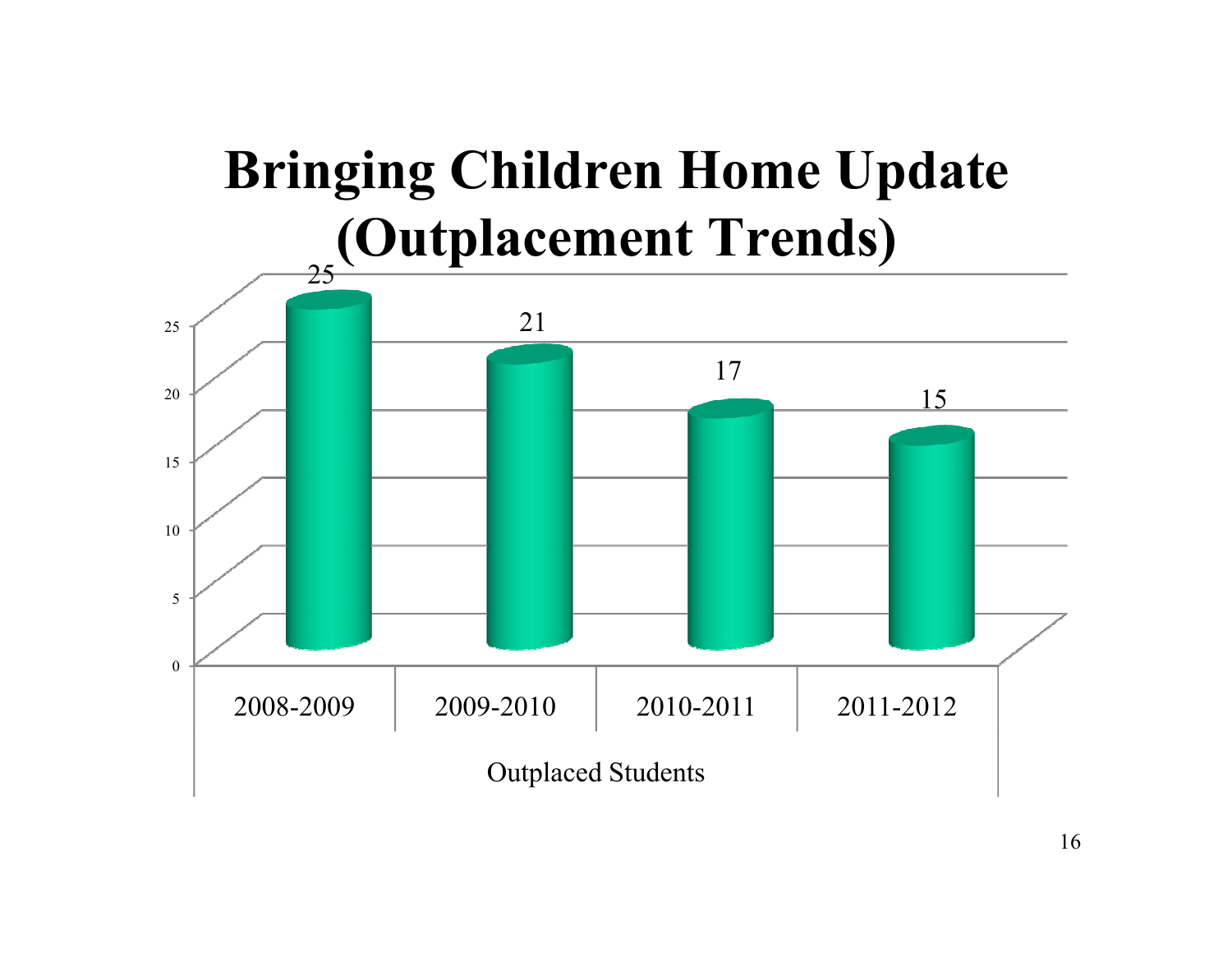# **Bringing Children Home Update(Outplacement Trends)**

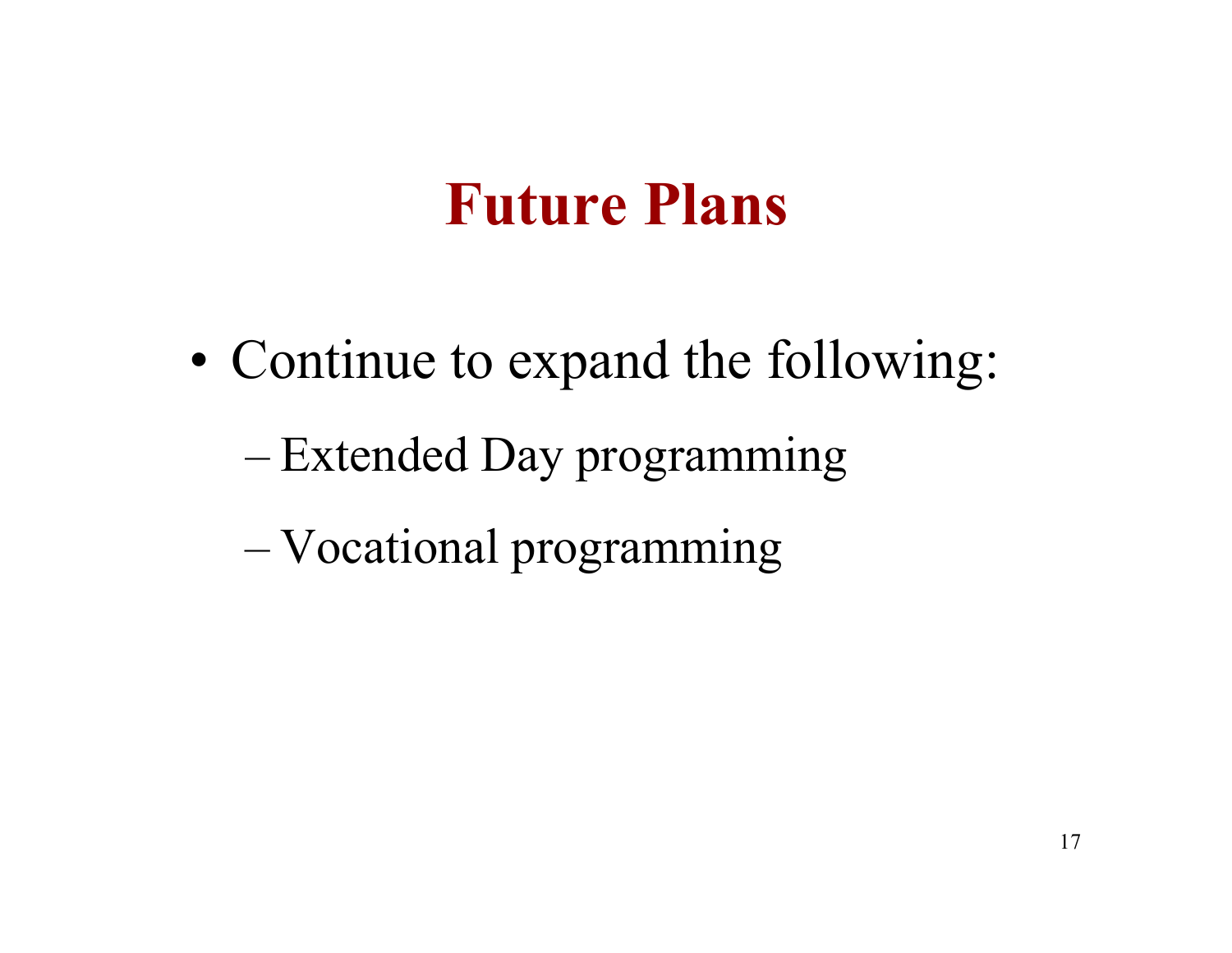### **Future Plans**

- • Continue to expand the following:
	- –Extended Day programming
	- –Vocational programming